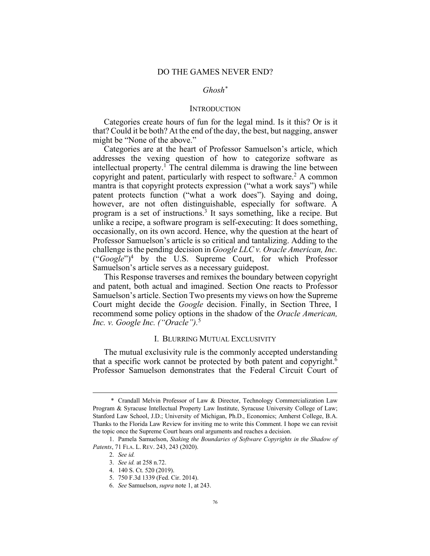# *Ghosh\**

### **INTRODUCTION**

Categories create hours of fun for the legal mind. Is it this? Or is it that? Could it be both? At the end of the day, the best, but nagging, answer might be "None of the above."

Categories are at the heart of Professor Samuelson's article, which addresses the vexing question of how to categorize software as intellectual property.<sup>1</sup> The central dilemma is drawing the line between copyright and patent, particularly with respect to software.<sup>2</sup> A common mantra is that copyright protects expression ("what a work says") while patent protects function ("what a work does"). Saying and doing, however, are not often distinguishable, especially for software. A program is a set of instructions. <sup>3</sup> It says something, like a recipe. But unlike a recipe, a software program is self-executing: It does something, occasionally, on its own accord. Hence, why the question at the heart of Professor Samuelson's article is so critical and tantalizing. Adding to the challenge is the pending decision in *Google LLC v. Oracle American, Inc.* ("*Google*")4 by the U.S. Supreme Court, for which Professor Samuelson's article serves as a necessary guidepost.

This Response traverses and remixes the boundary between copyright and patent, both actual and imagined. Section One reacts to Professor Samuelson's article. Section Two presents my views on how the Supreme Court might decide the *Google* decision. Finally, in Section Three, I recommend some policy options in the shadow of the *Oracle American, Inc. v. Google Inc. ("Oracle").* 5

### I. BLURRING MUTUAL EXCLUSIVITY

The mutual exclusivity rule is the commonly accepted understanding that a specific work cannot be protected by both patent and copyright.<sup>6</sup> Professor Samuelson demonstrates that the Federal Circuit Court of

<sup>\*</sup> Crandall Melvin Professor of Law & Director, Technology Commercialization Law Program & Syracuse Intellectual Property Law Institute, Syracuse University College of Law; Stanford Law School, J.D.; University of Michigan, Ph.D., Economics; Amherst College, B.A. Thanks to the Florida Law Review for inviting me to write this Comment. I hope we can revisit the topic once the Supreme Court hears oral arguments and reaches a decision.

<sup>1.</sup> Pamela Samuelson, *Staking the Boundaries of Software Copyrights in the Shadow of Patents*, 71 FLA. L. REV. 243, 243 (2020).

<sup>2.</sup> *See id.*

<sup>3.</sup> *See id.* at 258 n.72.

<sup>4.</sup> 140 S. Ct. 520 (2019).

<sup>5. 750</sup> F.3d 1339 (Fed. Cir. 2014).

<sup>6.</sup> *See* Samuelson, *supra* note 1, at 243.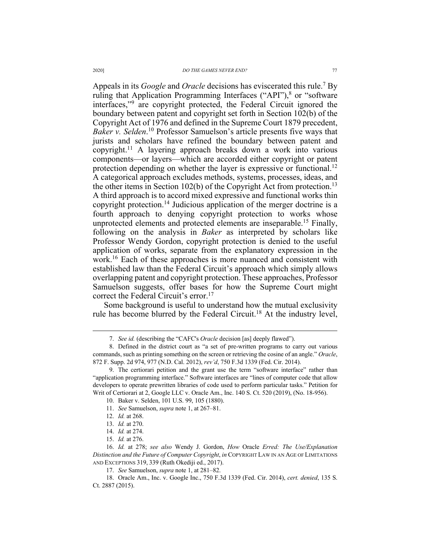Appeals in its *Google* and *Oracle* decisions has eviscerated this rule.7 By ruling that Application Programming Interfaces ("API"), $\delta$  or "software interfaces,"9 are copyright protected, the Federal Circuit ignored the boundary between patent and copyright set forth in Section 102(b) of the Copyright Act of 1976 and defined in the Supreme Court 1879 precedent, *Baker v. Selden*. <sup>10</sup> Professor Samuelson's article presents five ways that jurists and scholars have refined the boundary between patent and copyright.11 A layering approach breaks down a work into various components—or layers—which are accorded either copyright or patent protection depending on whether the layer is expressive or functional.<sup>12</sup> A categorical approach excludes methods, systems, processes, ideas, and the other items in Section 102(b) of the Copyright Act from protection.<sup>13</sup> A third approach is to accord mixed expressive and functional works thin copyright protection.14 Judicious application of the merger doctrine is a fourth approach to denying copyright protection to works whose unprotected elements and protected elements are inseparable.<sup>15</sup> Finally, following on the analysis in *Baker* as interpreted by scholars like Professor Wendy Gordon, copyright protection is denied to the useful application of works, separate from the explanatory expression in the work.16 Each of these approaches is more nuanced and consistent with established law than the Federal Circuit's approach which simply allows overlapping patent and copyright protection. These approaches, Professor Samuelson suggests, offer bases for how the Supreme Court might correct the Federal Circuit's error.<sup>17</sup>

Some background is useful to understand how the mutual exclusivity rule has become blurred by the Federal Circuit.<sup>18</sup> At the industry level,

<sup>7.</sup> *See id.* (describing the "CAFC's *Oracle* decision [as] deeply flawed").

<sup>8.</sup> Defined in the district court as "a set of pre-written programs to carry out various commands, such as printing something on the screen or retrieving the cosine of an angle." *Oracle*, 872 F. Supp. 2d 974, 977 (N.D. Cal. 2012), *rev'd*, 750 F.3d 1339 (Fed. Cir. 2014).

<sup>9.</sup> The certiorari petition and the grant use the term "software interface" rather than "application programming interface." Software interfaces are "lines of computer code that allow developers to operate prewritten libraries of code used to perform particular tasks." Petition for Writ of Certiorari at 2, Google LLC v. Oracle Am., Inc. 140 S. Ct. 520 (2019), (No. 18-956).

<sup>10.</sup> Baker v. Selden, 101 U.S. 99, 105 (1880).

<sup>11.</sup> *See* Samuelson, *supra* note 1, at 267–81.

<sup>12.</sup> *Id.* at 268.

<sup>13.</sup> *Id.* at 270.

<sup>14.</sup> *Id.* at 274.

<sup>15.</sup> *Id.* at 276.

<sup>16.</sup> *Id.* at 278; *see also* Wendy J. Gordon, *How* Oracle *Erred: The Use/Explanation Distinction and the Future of Computer Copyright*, *in* COPYRIGHT LAW IN AN AGE OF LIMITATIONS AND EXCEPTIONS 319, 339 (Ruth Okediji ed., 2017).

<sup>17.</sup> *See* Samuelson, *supra* note 1, at 281–82.

<sup>18.</sup> Oracle Am., Inc. v. Google Inc., 750 F.3d 1339 (Fed. Cir. 2014), *cert. denied*, 135 S. Ct. 2887 (2015).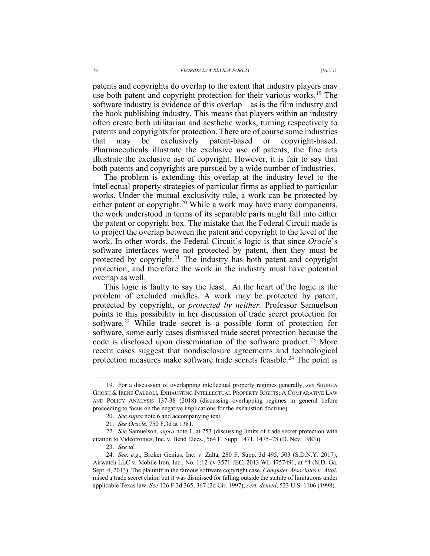patents and copyrights do overlap to the extent that industry players may use both patent and copyright protection for their various works.<sup>19</sup> The software industry is evidence of this overlap—as is the film industry and the book publishing industry. This means that players within an industry often create both utilitarian and aesthetic works, turning respectively to patents and copyrights for protection. There are of course some industries that may be exclusively patent-based or copyright-based. Pharmaceuticals illustrate the exclusive use of patents; the fine arts illustrate the exclusive use of copyright. However, it is fair to say that both patents and copyrights are pursued by a wide number of industries.

The problem is extending this overlap at the industry level to the intellectual property strategies of particular firms as applied to particular works. Under the mutual exclusivity rule, a work can be protected by either patent or copyright.<sup>20</sup> While a work may have many components, the work understood in terms of its separable parts might fall into either the patent or copyright box. The mistake that the Federal Circuit made is to project the overlap between the patent and copyright to the level of the work. In other words, the Federal Circuit's logic is that since *Oracle*'s software interfaces were not protected by patent, then they must be protected by copyright.<sup>21</sup> The industry has both patent and copyright protection, and therefore the work in the industry must have potential overlap as well.

This logic is faulty to say the least. At the heart of the logic is the problem of excluded middles. A work may be protected by patent, protected by copyright, or *protected by neither.* Professor Samuelson points to this possibility in her discussion of trade secret protection for software.<sup>22</sup> While trade secret is a possible form of protection for software, some early cases dismissed trade secret protection because the code is disclosed upon dissemination of the software product.<sup>23</sup> More recent cases suggest that nondisclosure agreements and technological protection measures make software trade secrets feasible.<sup>24</sup> The point is

<sup>19.</sup> For a discussion of overlapping intellectual property regimes generally, *see* SHUBHA GHOSH & IRENE CALBOLI, EXHAUSTING INTELLECTUAL PROPERTY RIGHTS: A COMPARATIVE LAW AND POLICY ANALYSIS 137-38 (2018) (discussing overlapping regimes in general before proceeding to focus on the negative implications for the exhaustion doctrine).

<sup>20.</sup> *See supra* note 6 and accompanying text.

<sup>21.</sup> *See Oracle*, 750 F.3d at 1381.

<sup>22.</sup> *See* Samuelson, *supra* note 1, at 253 (discussing limits of trade secret protection with citation to Videotronics, Inc. v. Bend Elecs., 564 F. Supp. 1471, 1475–78 (D. Nev. 1983)).

<sup>23.</sup> *See id.*

<sup>24.</sup> *See, e.g*., Broker Genius, Inc. v. Zalta, 280 F. Supp. 3d 495, 503 (S.D.N.Y. 2017); Airwatch LLC v. Mobile Iron, Inc., No. 1:12-cv-3571-JEC, 2013 WL 4757491, at \*4 (N.D. Ga. Sept. 4, 2013). The plaintiff in the famous software copyright case, *Computer Associates v. Altai*, raised a trade secret claim, but it was dismissed for falling outside the statute of limitations under applicable Texas law. *See* 126 F.3d 365, 367 (2d Cir. 1997), *cert. denied*, 523 U.S. 1106 (1998).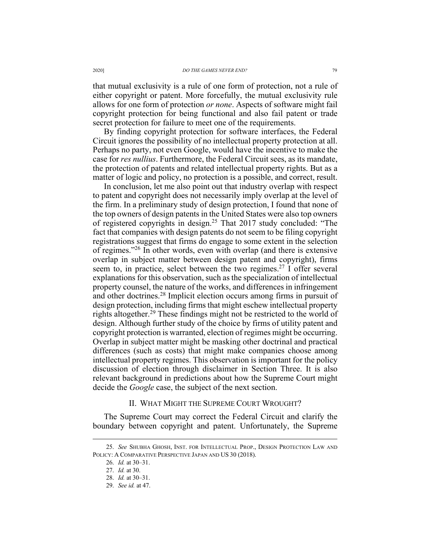that mutual exclusivity is a rule of one form of protection, not a rule of either copyright or patent. More forcefully, the mutual exclusivity rule allows for one form of protection *or none*. Aspects of software might fail copyright protection for being functional and also fail patent or trade secret protection for failure to meet one of the requirements.

By finding copyright protection for software interfaces, the Federal Circuit ignores the possibility of no intellectual property protection at all. Perhaps no party, not even Google, would have the incentive to make the case for *res nullius*. Furthermore, the Federal Circuit sees, as its mandate, the protection of patents and related intellectual property rights. But as a matter of logic and policy, no protection is a possible, and correct, result.

In conclusion, let me also point out that industry overlap with respect to patent and copyright does not necessarily imply overlap at the level of the firm. In a preliminary study of design protection, I found that none of the top owners of design patents in the United States were also top owners of registered copyrights in design.25 That 2017 study concluded: "The fact that companies with design patents do not seem to be filing copyright registrations suggest that firms do engage to some extent in the selection of regimes."26 In other words, even with overlap (and there is extensive overlap in subject matter between design patent and copyright), firms seem to, in practice, select between the two regimes.<sup>27</sup> I offer several explanations for this observation, such as the specialization of intellectual property counsel, the nature of the works, and differences in infringement and other doctrines.28 Implicit election occurs among firms in pursuit of design protection, including firms that might eschew intellectual property rights altogether.<sup>29</sup> These findings might not be restricted to the world of design. Although further study of the choice by firms of utility patent and copyright protection is warranted, election of regimes might be occurring. Overlap in subject matter might be masking other doctrinal and practical differences (such as costs) that might make companies choose among intellectual property regimes. This observation is important for the policy discussion of election through disclaimer in Section Three. It is also relevant background in predictions about how the Supreme Court might decide the *Google* case, the subject of the next section.

## II. WHAT MIGHT THE SUPREME COURT WROUGHT?

The Supreme Court may correct the Federal Circuit and clarify the boundary between copyright and patent. Unfortunately, the Supreme

<sup>25.</sup> *See* SHUBHA GHOSH, INST. FOR INTELLECTUAL PROP., DESIGN PROTECTION LAW AND POLICY: A COMPARATIVE PERSPECTIVE JAPAN AND US 30 (2018).

<sup>26.</sup> *Id.* at 30–31.

<sup>27.</sup> *Id.* at 30.

<sup>28.</sup> *Id.* at 30–31.

<sup>29.</sup> *See id.* at 47.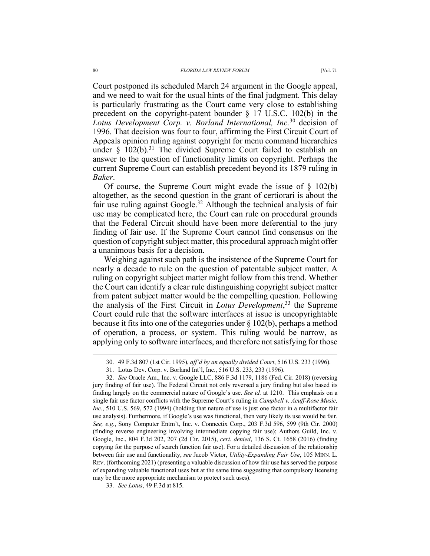Court postponed its scheduled March 24 argument in the Google appeal, and we need to wait for the usual hints of the final judgment. This delay is particularly frustrating as the Court came very close to establishing precedent on the copyright-patent bounder § 17 U.S.C. 102(b) in the

*Lotus Development Corp. v. Borland International, Inc.*<sup>30</sup> decision of 1996. That decision was four to four, affirming the First Circuit Court of Appeals opinion ruling against copyright for menu command hierarchies under  $\S$  102(b).<sup>31</sup> The divided Supreme Court failed to establish an answer to the question of functionality limits on copyright. Perhaps the current Supreme Court can establish precedent beyond its 1879 ruling in *Baker*.

Of course, the Supreme Court might evade the issue of  $\S$  102(b) altogether, as the second question in the grant of certiorari is about the fair use ruling against Google.<sup>32</sup> Although the technical analysis of fair use may be complicated here, the Court can rule on procedural grounds that the Federal Circuit should have been more deferential to the jury finding of fair use. If the Supreme Court cannot find consensus on the question of copyright subject matter, this procedural approach might offer a unanimous basis for a decision.

Weighing against such path is the insistence of the Supreme Court for nearly a decade to rule on the question of patentable subject matter. A ruling on copyright subject matter might follow from this trend. Whether the Court can identify a clear rule distinguishing copyright subject matter from patent subject matter would be the compelling question. Following the analysis of the First Circuit in *Lotus Development*, <sup>33</sup> the Supreme Court could rule that the software interfaces at issue is uncopyrightable because it fits into one of the categories under § 102(b), perhaps a method of operation, a process, or system. This ruling would be narrow, as applying only to software interfaces, and therefore not satisfying for those

<sup>30.</sup> 49 F.3d 807 (1st Cir. 1995), *aff'd by an equally divided Court*, 516 U.S. 233 (1996).

<sup>31.</sup> Lotus Dev. Corp. v. Borland Int'l, Inc., 516 U.S. 233, 233 (1996).

<sup>32.</sup> *See* Oracle Am., Inc. v. Google LLC, 886 F.3d 1179, 1186 (Fed. Cir. 2018) (reversing jury finding of fair use). The Federal Circuit not only reversed a jury finding but also based its finding largely on the commercial nature of Google's use. *See id.* at 1210. This emphasis on a single fair use factor conflicts with the Supreme Court's ruling in *Campbell v. Acuff-Rose Music, Inc.*, 510 U.S. 569, 572 (1994) (holding that nature of use is just one factor in a multifactor fair use analysis). Furthermore, if Google's use was functional, then very likely its use would be fair. *See, e.g*., Sony Computer Entm't, Inc. v. Connectix Corp., 203 F.3d 596, 599 (9th Cir. 2000) (finding reverse engineering involving intermediate copying fair use); Authors Guild, Inc. v. Google, Inc., 804 F.3d 202, 207 (2d Cir. 2015), *cert. denied*, 136 S. Ct. 1658 (2016) (finding copying for the purpose of search function fair use). For a detailed discussion of the relationship between fair use and functionality, *see* Jacob Victor, *Utility-Expanding Fair Use*, 105 MINN. L. REV. (forthcoming 2021) (presenting a valuable discussion of how fair use has served the purpose of expanding valuable functional uses but at the same time suggesting that compulsory licensing may be the more appropriate mechanism to protect such uses).

<sup>33.</sup> *See Lotus*, 49 F.3d at 815.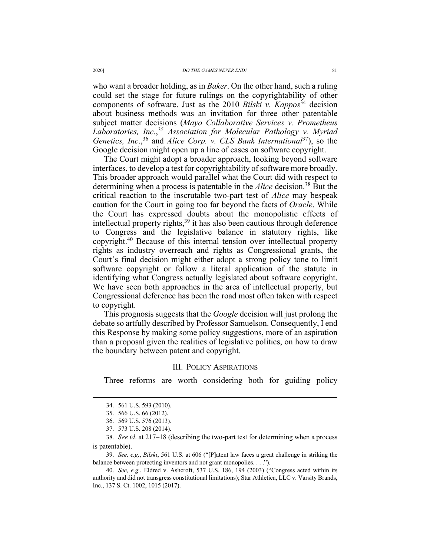who want a broader holding, as in *Baker*. On the other hand, such a ruling could set the stage for future rulings on the copyrightability of other components of software. Just as the 2010 *Bilski v. Kappos*<sup>34</sup> decision about business methods was an invitation for three other patentable subject matter decisions (*Mayo Collaborative Services v. Prometheus Laboratories, Inc.*, <sup>35</sup> *Association for Molecular Pathology v. Myriad Genetics, Inc*., <sup>36</sup> and *Alice Corp. v. CLS Bank International*37), so the Google decision might open up a line of cases on software copyright.

The Court might adopt a broader approach, looking beyond software interfaces, to develop a test for copyrightability of software more broadly. This broader approach would parallel what the Court did with respect to determining when a process is patentable in the *Alice* decision.38 But the critical reaction to the inscrutable two-part test of *Alice* may bespeak caution for the Court in going too far beyond the facts of *Oracle*. While the Court has expressed doubts about the monopolistic effects of intellectual property rights, $39$  it has also been cautious through deference to Congress and the legislative balance in statutory rights, like copyright.40 Because of this internal tension over intellectual property rights as industry overreach and rights as Congressional grants, the Court's final decision might either adopt a strong policy tone to limit software copyright or follow a literal application of the statute in identifying what Congress actually legislated about software copyright. We have seen both approaches in the area of intellectual property, but Congressional deference has been the road most often taken with respect to copyright.

This prognosis suggests that the *Google* decision will just prolong the debate so artfully described by Professor Samuelson. Consequently, I end this Response by making some policy suggestions, more of an aspiration than a proposal given the realities of legislative politics, on how to draw the boundary between patent and copyright.

## III. POLICY ASPIRATIONS

Three reforms are worth considering both for guiding policy

39. *See, e.g.*, *Bilski*, 561 U.S. at 606 ("[P]atent law faces a great challenge in striking the balance between protecting inventors and not grant monopolies. . . .").

<sup>34.</sup> 561 U.S. 593 (2010).

<sup>35.</sup> 566 U.S. 66 (2012).

<sup>36.</sup> 569 U.S. 576 (2013).

<sup>37.</sup> 573 U.S. 208 (2014).

<sup>38.</sup> *See id*. at 217–18 (describing the two-part test for determining when a process is patentable).

<sup>40.</sup> *See, e.g.*, Eldred v. Ashcroft, 537 U.S. 186, 194 (2003) ("Congress acted within its authority and did not transgress constitutional limitations); Star Athletica, LLC v. Varsity Brands, Inc., 137 S. Ct. 1002, 1015 (2017).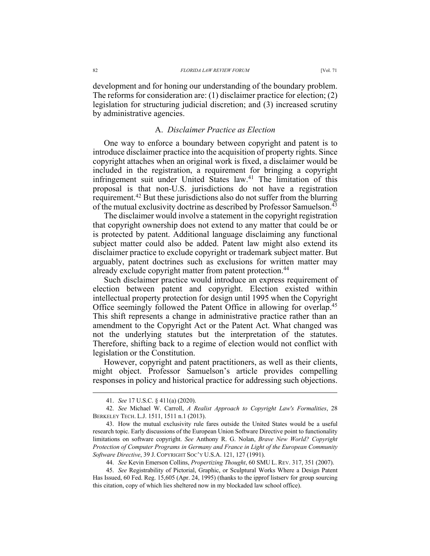development and for honing our understanding of the boundary problem. The reforms for consideration are: (1) disclaimer practice for election; (2) legislation for structuring judicial discretion; and (3) increased scrutiny by administrative agencies.

### A. *Disclaimer Practice as Election*

One way to enforce a boundary between copyright and patent is to introduce disclaimer practice into the acquisition of property rights. Since copyright attaches when an original work is fixed, a disclaimer would be included in the registration, a requirement for bringing a copyright infringement suit under United States law.<sup>41</sup> The limitation of this proposal is that non-U.S. jurisdictions do not have a registration requirement.42 But these jurisdictions also do not suffer from the blurring of the mutual exclusivity doctrine as described by Professor Samuelson.<sup>43</sup>

The disclaimer would involve a statement in the copyright registration that copyright ownership does not extend to any matter that could be or is protected by patent. Additional language disclaiming any functional subject matter could also be added. Patent law might also extend its disclaimer practice to exclude copyright or trademark subject matter. But arguably, patent doctrines such as exclusions for written matter may already exclude copyright matter from patent protection.<sup>44</sup>

Such disclaimer practice would introduce an express requirement of election between patent and copyright. Election existed within intellectual property protection for design until 1995 when the Copyright Office seemingly followed the Patent Office in allowing for overlap.<sup>45</sup> This shift represents a change in administrative practice rather than an amendment to the Copyright Act or the Patent Act. What changed was not the underlying statutes but the interpretation of the statutes. Therefore, shifting back to a regime of election would not conflict with legislation or the Constitution.

However, copyright and patent practitioners, as well as their clients, might object. Professor Samuelson's article provides compelling responses in policy and historical practice for addressing such objections.

<sup>41.</sup> *See* 17 U.S.C. § 411(a) (2020).

<sup>42.</sup> *See* Michael W. Carroll, *A Realist Approach to Copyright Law's Formalities*, 28 BERKELEY TECH. L.J. 1511, 1511 n.1 (2013).

<sup>43.</sup> How the mutual exclusivity rule fares outside the United States would be a useful research topic. Early discussions of the European Union Software Directive point to functionality limitations on software copyright. *See* Anthony R. G. Nolan, *Brave New World? Copyright Protection of Computer Programs in Germany and France in Light of the European Community Software Directive*, 39 J. COPYRIGHT SOC'Y U.S.A. 121, 127 (1991).

<sup>44.</sup> *See* Kevin Emerson Collins, *Propertizing Thought*, 60 SMU L. REV. 317, 351 (2007).

<sup>45.</sup> *See* Registrability of Pictorial, Graphic, or Sculptural Works Where a Design Patent Has Issued, 60 Fed. Reg. 15,605 (Apr. 24, 1995) (thanks to the ipprof listserv for group sourcing this citation, copy of which lies sheltered now in my blockaded law school office).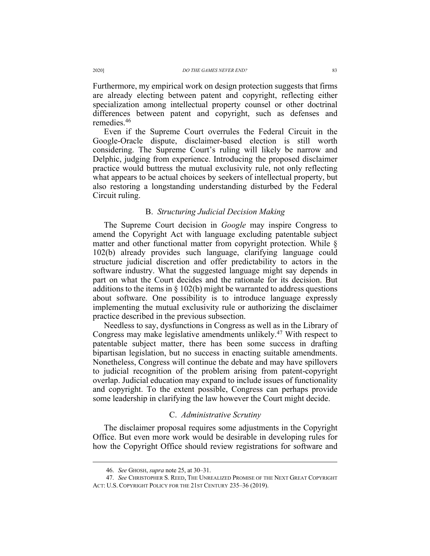Furthermore, my empirical work on design protection suggests that firms are already electing between patent and copyright, reflecting either specialization among intellectual property counsel or other doctrinal differences between patent and copyright, such as defenses and remedies.46

Even if the Supreme Court overrules the Federal Circuit in the Google-Oracle dispute, disclaimer-based election is still worth considering. The Supreme Court's ruling will likely be narrow and Delphic, judging from experience. Introducing the proposed disclaimer practice would buttress the mutual exclusivity rule, not only reflecting what appears to be actual choices by seekers of intellectual property, but also restoring a longstanding understanding disturbed by the Federal Circuit ruling.

### B. *Structuring Judicial Decision Making*

The Supreme Court decision in *Google* may inspire Congress to amend the Copyright Act with language excluding patentable subject matter and other functional matter from copyright protection. While § 102(b) already provides such language, clarifying language could structure judicial discretion and offer predictability to actors in the software industry. What the suggested language might say depends in part on what the Court decides and the rationale for its decision. But additions to the items in  $\S 102(b)$  might be warranted to address questions about software. One possibility is to introduce language expressly implementing the mutual exclusivity rule or authorizing the disclaimer practice described in the previous subsection.

Needless to say, dysfunctions in Congress as well as in the Library of Congress may make legislative amendments unlikely.<sup>47</sup> With respect to patentable subject matter, there has been some success in drafting bipartisan legislation, but no success in enacting suitable amendments. Nonetheless, Congress will continue the debate and may have spillovers to judicial recognition of the problem arising from patent-copyright overlap. Judicial education may expand to include issues of functionality and copyright. To the extent possible, Congress can perhaps provide some leadership in clarifying the law however the Court might decide.

### C. *Administrative Scrutiny*

The disclaimer proposal requires some adjustments in the Copyright Office. But even more work would be desirable in developing rules for how the Copyright Office should review registrations for software and

<sup>46.</sup> *See* GHOSH, *supra* note 25, at 30–31.

<sup>47.</sup> *See* CHRISTOPHER S. REED, THE UNREALIZED PROMISE OF THE NEXT GREAT COPYRIGHT ACT: U.S. COPYRIGHT POLICY FOR THE 21ST CENTURY 235-36 (2019).